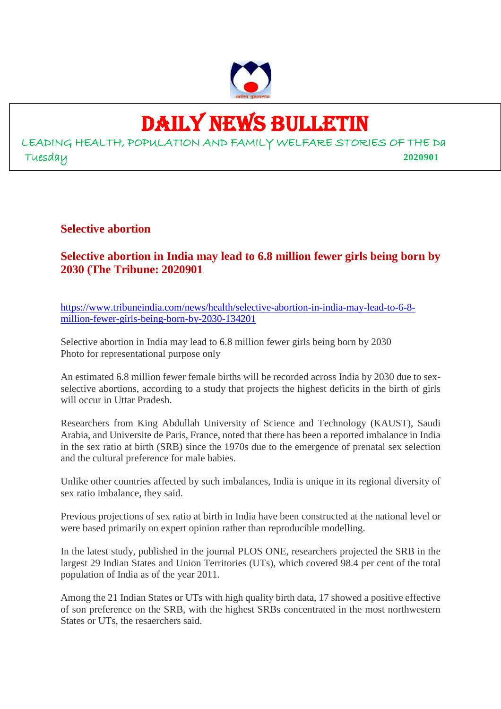

# DAILY NEWS BULLETIN

LEADING HEALTH, POPULATION AND FAMILY WELFARE STORIES OF THE Da Tuesday **2020901**

**Selective abortion**

# **Selective abortion in India may lead to 6.8 million fewer girls being born by 2030 (The Tribune: 2020901**

https://www.tribuneindia.com/news/health/selective-abortion-in-india-may-lead-to-6-8 million-fewer-girls-being-born-by-2030-134201

Selective abortion in India may lead to 6.8 million fewer girls being born by 2030 Photo for representational purpose only

An estimated 6.8 million fewer female births will be recorded across India by 2030 due to sexselective abortions, according to a study that projects the highest deficits in the birth of girls will occur in Uttar Pradesh.

Researchers from King Abdullah University of Science and Technology (KAUST), Saudi Arabia, and Universite de Paris, France, noted that there has been a reported imbalance in India in the sex ratio at birth (SRB) since the 1970s due to the emergence of prenatal sex selection and the cultural preference for male babies.

Unlike other countries affected by such imbalances, India is unique in its regional diversity of sex ratio imbalance, they said.

Previous projections of sex ratio at birth in India have been constructed at the national level or were based primarily on expert opinion rather than reproducible modelling.

In the latest study, published in the journal PLOS ONE, researchers projected the SRB in the largest 29 Indian States and Union Territories (UTs), which covered 98.4 per cent of the total population of India as of the year 2011.

Among the 21 Indian States or UTs with high quality birth data, 17 showed a positive effective of son preference on the SRB, with the highest SRBs concentrated in the most northwestern States or UTs, the resaerchers said.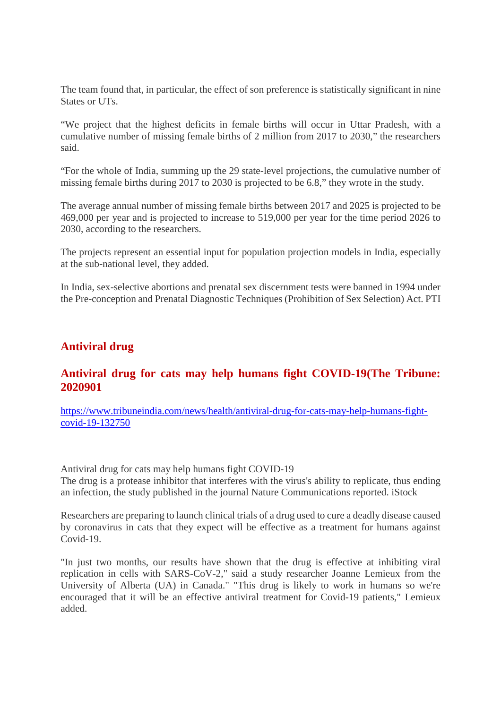The team found that, in particular, the effect of son preference is statistically significant in nine States or UTs.

"We project that the highest deficits in female births will occur in Uttar Pradesh, with a cumulative number of missing female births of 2 million from 2017 to 2030," the researchers said.

"For the whole of India, summing up the 29 state-level projections, the cumulative number of missing female births during 2017 to 2030 is projected to be 6.8," they wrote in the study.

The average annual number of missing female births between 2017 and 2025 is projected to be 469,000 per year and is projected to increase to 519,000 per year for the time period 2026 to 2030, according to the researchers.

The projects represent an essential input for population projection models in India, especially at the sub-national level, they added.

In India, sex-selective abortions and prenatal sex discernment tests were banned in 1994 under the Pre-conception and Prenatal Diagnostic Techniques (Prohibition of Sex Selection) Act. PTI

#### **Antiviral drug**

#### **Antiviral drug for cats may help humans fight COVID-19(The Tribune: 2020901**

https://www.tribuneindia.com/news/health/antiviral-drug-for-cats-may-help-humans-fightcovid-19-132750

Antiviral drug for cats may help humans fight COVID-19

The drug is a protease inhibitor that interferes with the virus's ability to replicate, thus ending an infection, the study published in the journal Nature Communications reported. iStock

Researchers are preparing to launch clinical trials of a drug used to cure a deadly disease caused by coronavirus in cats that they expect will be effective as a treatment for humans against Covid-19.

"In just two months, our results have shown that the drug is effective at inhibiting viral replication in cells with SARS-CoV-2," said a study researcher Joanne Lemieux from the University of Alberta (UA) in Canada." "This drug is likely to work in humans so we're encouraged that it will be an effective antiviral treatment for Covid-19 patients," Lemieux added.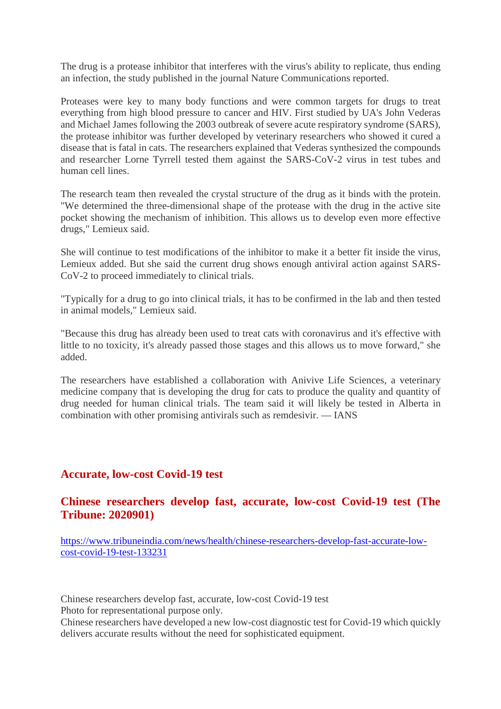The drug is a protease inhibitor that interferes with the virus's ability to replicate, thus ending an infection, the study published in the journal Nature Communications reported.

Proteases were key to many body functions and were common targets for drugs to treat everything from high blood pressure to cancer and HIV. First studied by UA's John Vederas and Michael James following the 2003 outbreak of severe acute respiratory syndrome (SARS), the protease inhibitor was further developed by veterinary researchers who showed it cured a disease that is fatal in cats. The researchers explained that Vederas synthesized the compounds and researcher Lorne Tyrrell tested them against the SARS-CoV-2 virus in test tubes and human cell lines.

The research team then revealed the crystal structure of the drug as it binds with the protein. "We determined the three-dimensional shape of the protease with the drug in the active site pocket showing the mechanism of inhibition. This allows us to develop even more effective drugs," Lemieux said.

She will continue to test modifications of the inhibitor to make it a better fit inside the virus, Lemieux added. But she said the current drug shows enough antiviral action against SARS-CoV-2 to proceed immediately to clinical trials.

"Typically for a drug to go into clinical trials, it has to be confirmed in the lab and then tested in animal models," Lemieux said.

"Because this drug has already been used to treat cats with coronavirus and it's effective with little to no toxicity, it's already passed those stages and this allows us to move forward," she added.

The researchers have established a collaboration with Anivive Life Sciences, a veterinary medicine company that is developing the drug for cats to produce the quality and quantity of drug needed for human clinical trials. The team said it will likely be tested in Alberta in combination with other promising antivirals such as remdesivir. — IANS

#### **Accurate, low-cost Covid-19 test**

#### **Chinese researchers develop fast, accurate, low-cost Covid-19 test (The Tribune: 2020901)**

https://www.tribuneindia.com/news/health/chinese-researchers-develop-fast-accurate-lowcost-covid-19-test-133231

Chinese researchers develop fast, accurate, low-cost Covid-19 test

Photo for representational purpose only.

Chinese researchers have developed a new low-cost diagnostic test for Covid-19 which quickly delivers accurate results without the need for sophisticated equipment.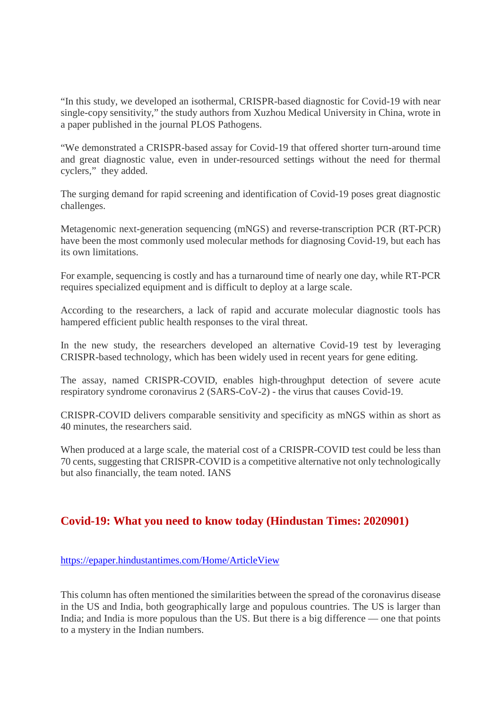"In this study, we developed an isothermal, CRISPR-based diagnostic for Covid-19 with near single-copy sensitivity," the study authors from Xuzhou Medical University in China, wrote in a paper published in the journal PLOS Pathogens.

"We demonstrated a CRISPR-based assay for Covid-19 that offered shorter turn-around time and great diagnostic value, even in under-resourced settings without the need for thermal cyclers," they added.

The surging demand for rapid screening and identification of Covid-19 poses great diagnostic challenges.

Metagenomic next-generation sequencing (mNGS) and reverse-transcription PCR (RT-PCR) have been the most commonly used molecular methods for diagnosing Covid-19, but each has its own limitations.

For example, sequencing is costly and has a turnaround time of nearly one day, while RT-PCR requires specialized equipment and is difficult to deploy at a large scale.

According to the researchers, a lack of rapid and accurate molecular diagnostic tools has hampered efficient public health responses to the viral threat.

In the new study, the researchers developed an alternative Covid-19 test by leveraging CRISPR-based technology, which has been widely used in recent years for gene editing.

The assay, named CRISPR-COVID, enables high-throughput detection of severe acute respiratory syndrome coronavirus 2 (SARS-CoV-2) - the virus that causes Covid-19.

CRISPR-COVID delivers comparable sensitivity and specificity as mNGS within as short as 40 minutes, the researchers said.

When produced at a large scale, the material cost of a CRISPR-COVID test could be less than 70 cents, suggesting that CRISPR-COVID is a competitive alternative not only technologically but also financially, the team noted. IANS

# **Covid-19: What you need to know today (Hindustan Times: 2020901)**

#### https://epaper.hindustantimes.com/Home/ArticleView

This column has often mentioned the similarities between the spread of the coronavirus disease in the US and India, both geographically large and populous countries. The US is larger than India; and India is more populous than the US. But there is a big difference — one that points to a mystery in the Indian numbers.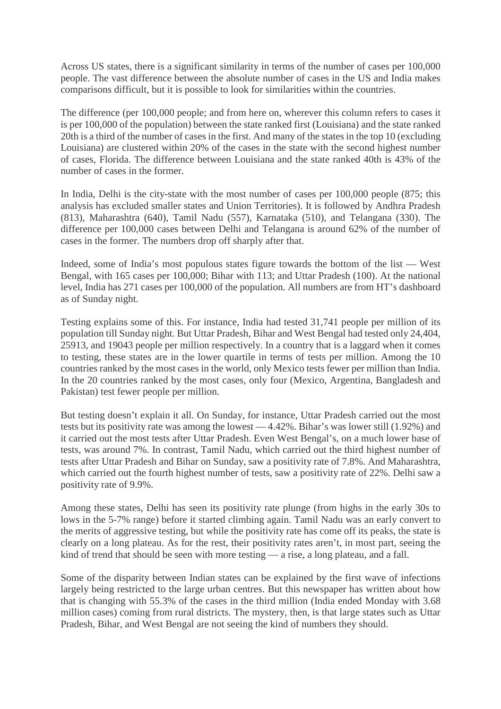Across US states, there is a significant similarity in terms of the number of cases per 100,000 people. The vast difference between the absolute number of cases in the US and India makes comparisons difficult, but it is possible to look for similarities within the countries.

The difference (per 100,000 people; and from here on, wherever this column refers to cases it is per 100,000 of the population) between the state ranked first (Louisiana) and the state ranked 20th is a third of the number of cases in the first. And many of the states in the top 10 (excluding Louisiana) are clustered within 20% of the cases in the state with the second highest number of cases, Florida. The difference between Louisiana and the state ranked 40th is 43% of the number of cases in the former.

In India, Delhi is the city-state with the most number of cases per 100,000 people (875; this analysis has excluded smaller states and Union Territories). It is followed by Andhra Pradesh (813), Maharashtra (640), Tamil Nadu (557), Karnataka (510), and Telangana (330). The difference per 100,000 cases between Delhi and Telangana is around 62% of the number of cases in the former. The numbers drop off sharply after that.

Indeed, some of India's most populous states figure towards the bottom of the list — West Bengal, with 165 cases per 100,000; Bihar with 113; and Uttar Pradesh (100). At the national level, India has 271 cases per 100,000 of the population. All numbers are from HT's dashboard as of Sunday night.

Testing explains some of this. For instance, India had tested 31,741 people per million of its population till Sunday night. But Uttar Pradesh, Bihar and West Bengal had tested only 24,404, 25913, and 19043 people per million respectively. In a country that is a laggard when it comes to testing, these states are in the lower quartile in terms of tests per million. Among the 10 countries ranked by the most cases in the world, only Mexico tests fewer per million than India. In the 20 countries ranked by the most cases, only four (Mexico, Argentina, Bangladesh and Pakistan) test fewer people per million.

But testing doesn't explain it all. On Sunday, for instance, Uttar Pradesh carried out the most tests but its positivity rate was among the lowest — 4.42%. Bihar's was lower still (1.92%) and it carried out the most tests after Uttar Pradesh. Even West Bengal's, on a much lower base of tests, was around 7%. In contrast, Tamil Nadu, which carried out the third highest number of tests after Uttar Pradesh and Bihar on Sunday, saw a positivity rate of 7.8%. And Maharashtra, which carried out the fourth highest number of tests, saw a positivity rate of 22%. Delhi saw a positivity rate of 9.9%.

Among these states, Delhi has seen its positivity rate plunge (from highs in the early 30s to lows in the 5-7% range) before it started climbing again. Tamil Nadu was an early convert to the merits of aggressive testing, but while the positivity rate has come off its peaks, the state is clearly on a long plateau. As for the rest, their positivity rates aren't, in most part, seeing the kind of trend that should be seen with more testing — a rise, a long plateau, and a fall.

Some of the disparity between Indian states can be explained by the first wave of infections largely being restricted to the large urban centres. But this newspaper has written about how that is changing with 55.3% of the cases in the third million (India ended Monday with 3.68 million cases) coming from rural districts. The mystery, then, is that large states such as Uttar Pradesh, Bihar, and West Bengal are not seeing the kind of numbers they should.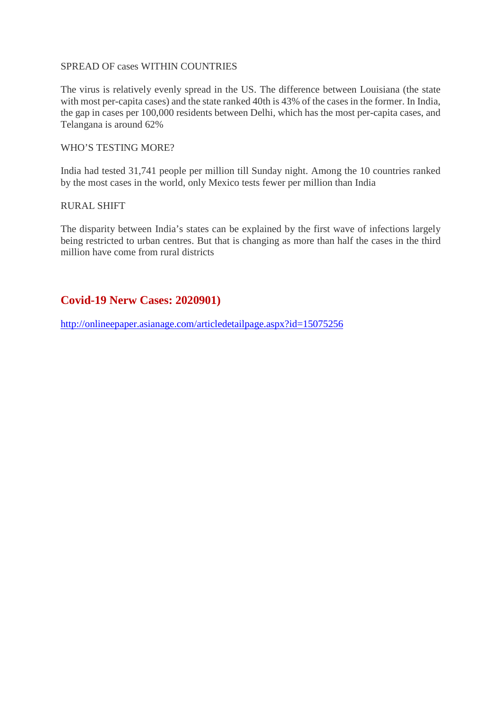#### SPREAD OF cases WITHIN COUNTRIES

The virus is relatively evenly spread in the US. The difference between Louisiana (the state with most per-capita cases) and the state ranked 40th is 43% of the cases in the former. In India, the gap in cases per 100,000 residents between Delhi, which has the most per-capita cases, and Telangana is around 62%

#### WHO'S TESTING MORE?

India had tested 31,741 people per million till Sunday night. Among the 10 countries ranked by the most cases in the world, only Mexico tests fewer per million than India

#### RURAL SHIFT

The disparity between India's states can be explained by the first wave of infections largely being restricted to urban centres. But that is changing as more than half the cases in the third million have come from rural districts

#### **Covid-19 Nerw Cases: 2020901)**

http://onlineepaper.asianage.com/articledetailpage.aspx?id=15075256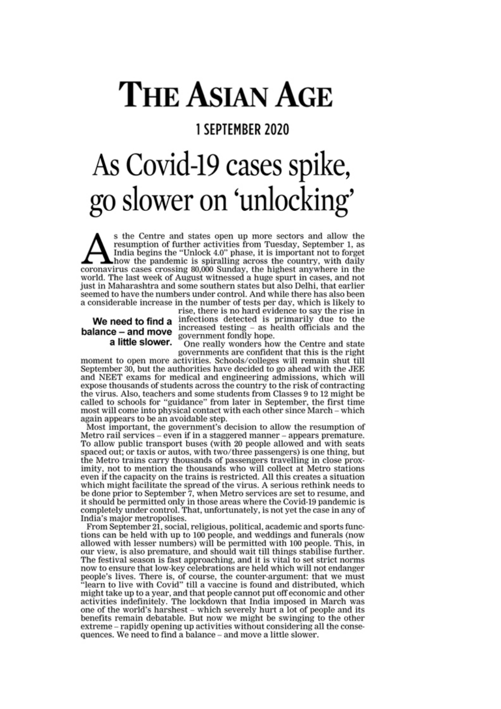# **THE ASIAN AGE**

# **1 SEPTEMBER 2020**

# As Covid-19 cases spike, go slower on 'unlocking'

s the Centre and states open up more sectors and allow the resumption of further activities from Tuesday, September 1, as India begins the "Unlock 4.0" phase, it is important not to forget how the pandemic is spiralling across the country, with daily coronavirus cases crossing 80,000 Sunday, the highest anywhere in the world. The last week of August witnessed a huge spurt in cases, and not just in Maharashtra and some southern states but also Delhi, that earlier seemed to have the numbers under control. And while there has also been a considerable increase in the number of tests per day, which is likely to

# a little slower.

rise, there is no hard evidence to say the rise in We need to find a infections detected is primarily due to the<br>balance – and move increased testing – as health officials and the<br>a little slower

One really wonders how the Centre and state governments are confident that this is the right

moment to open more activities. Schools/colleges will remain shut till September 30, but the authorities have decided to go ahead with the JEE and NEET exams for medical and engineering admissions, which will expose thousands of students across the country to the risk of contracting the virus. Also, teachers and some students from Classes 9 to 12 might be called to schools for "guidance" from later in September, the first time most will come into physical contact with each other since March – which again appears to be an avoidable step.

Most important, the government's decision to allow the resumption of Metro rail services - even if in a staggered manner - appears premature. To allow public transport buses (with 20 people allowed and with seats spaced out; or taxis or autos, with two/three passengers) is one thing, but the Metro trains carry thousands of passengers travelling in close proximity, not to mention the thousands who will collect at Metro stations even if the capacity on the trains is restricted. All this creates a situation which might facilitate the spread of the virus. A serious rethink needs to be done prior to September 7, when Metro services are set to resume, and it should be permitted only in those areas where the Covid-19 pandemic is completely under control. That, unfortunately, is not yet the case in any of India's major metropolises.

From September 21, social, religious, political, academic and sports functions can be held with up to 100 people, and weddings and funerals (now allowed with lesser numbers) will be permitted with 100 people. This, in our view, is also premature, and should wait till things stabilise further. The festival season is fast approaching, and it is vital to set strict norms now to ensure that low-key celebrations are held which will not endanger people's lives. There is, of course, the counter-argument: that we must "learn to live with Covid" till a vaccine is found and distributed, which might take up to a year, and that people cannot put off economic and other activities indefinitely. The lockdown that India imposed in March was one of the world's harshest - which severely hurt a lot of people and its benefits remain debatable. But now we might be swinging to the other extreme – rapidly opening up activities without considering all the consequences. We need to find a balance - and move a little slower.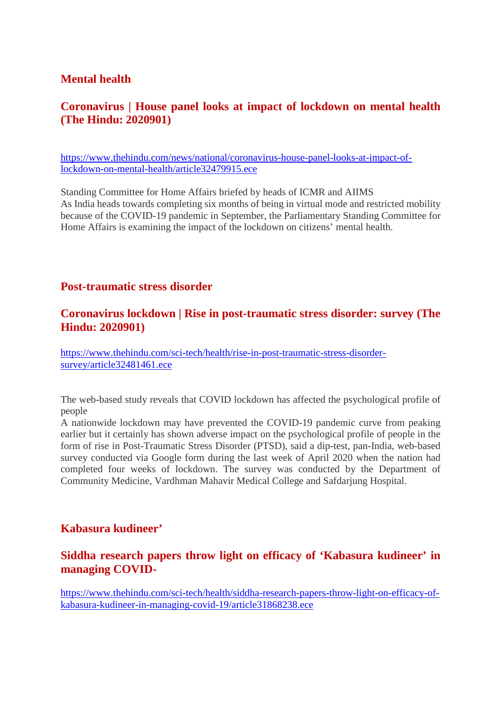#### **Mental health**

# **Coronavirus | House panel looks at impact of lockdown on mental health (The Hindu: 2020901)**

https://www.thehindu.com/news/national/coronavirus-house-panel-looks-at-impact-oflockdown-on-mental-health/article32479915.ece

Standing Committee for Home Affairs briefed by heads of ICMR and AIIMS As India heads towards completing six months of being in virtual mode and restricted mobility because of the COVID-19 pandemic in September, the Parliamentary Standing Committee for Home Affairs is examining the impact of the lockdown on citizens' mental health.

#### **Post-traumatic stress disorder**

#### **Coronavirus lockdown | Rise in post-traumatic stress disorder: survey (The Hindu: 2020901)**

https://www.thehindu.com/sci-tech/health/rise-in-post-traumatic-stress-disordersurvey/article32481461.ece

The web-based study reveals that COVID lockdown has affected the psychological profile of people

A nationwide lockdown may have prevented the COVID-19 pandemic curve from peaking earlier but it certainly has shown adverse impact on the psychological profile of people in the form of rise in Post-Traumatic Stress Disorder (PTSD), said a dip-test, pan-India, web-based survey conducted via Google form during the last week of April 2020 when the nation had completed four weeks of lockdown. The survey was conducted by the Department of Community Medicine, Vardhman Mahavir Medical College and Safdarjung Hospital.

#### **Kabasura kudineer'**

#### **Siddha research papers throw light on efficacy of 'Kabasura kudineer' in managing COVID-**

https://www.thehindu.com/sci-tech/health/siddha-research-papers-throw-light-on-efficacy-ofkabasura-kudineer-in-managing-covid-19/article31868238.ece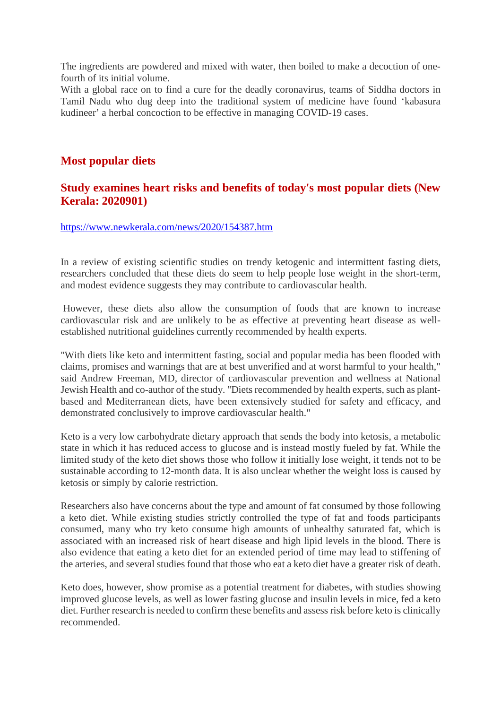The ingredients are powdered and mixed with water, then boiled to make a decoction of onefourth of its initial volume.

With a global race on to find a cure for the deadly coronavirus, teams of Siddha doctors in Tamil Nadu who dug deep into the traditional system of medicine have found 'kabasura kudineer' a herbal concoction to be effective in managing COVID-19 cases.

# **Most popular diets**

# **Study examines heart risks and benefits of today's most popular diets (New Kerala: 2020901)**

https://www.newkerala.com/news/2020/154387.htm

In a review of existing scientific studies on trendy ketogenic and intermittent fasting diets, researchers concluded that these diets do seem to help people lose weight in the short-term, and modest evidence suggests they may contribute to cardiovascular health.

However, these diets also allow the consumption of foods that are known to increase cardiovascular risk and are unlikely to be as effective at preventing heart disease as wellestablished nutritional guidelines currently recommended by health experts.

"With diets like keto and intermittent fasting, social and popular media has been flooded with claims, promises and warnings that are at best unverified and at worst harmful to your health," said Andrew Freeman, MD, director of cardiovascular prevention and wellness at National Jewish Health and co-author of the study. "Diets recommended by health experts, such as plantbased and Mediterranean diets, have been extensively studied for safety and efficacy, and demonstrated conclusively to improve cardiovascular health."

Keto is a very low carbohydrate dietary approach that sends the body into ketosis, a metabolic state in which it has reduced access to glucose and is instead mostly fueled by fat. While the limited study of the keto diet shows those who follow it initially lose weight, it tends not to be sustainable according to 12-month data. It is also unclear whether the weight loss is caused by ketosis or simply by calorie restriction.

Researchers also have concerns about the type and amount of fat consumed by those following a keto diet. While existing studies strictly controlled the type of fat and foods participants consumed, many who try keto consume high amounts of unhealthy saturated fat, which is associated with an increased risk of heart disease and high lipid levels in the blood. There is also evidence that eating a keto diet for an extended period of time may lead to stiffening of the arteries, and several studies found that those who eat a keto diet have a greater risk of death.

Keto does, however, show promise as a potential treatment for diabetes, with studies showing improved glucose levels, as well as lower fasting glucose and insulin levels in mice, fed a keto diet. Further research is needed to confirm these benefits and assess risk before keto is clinically recommended.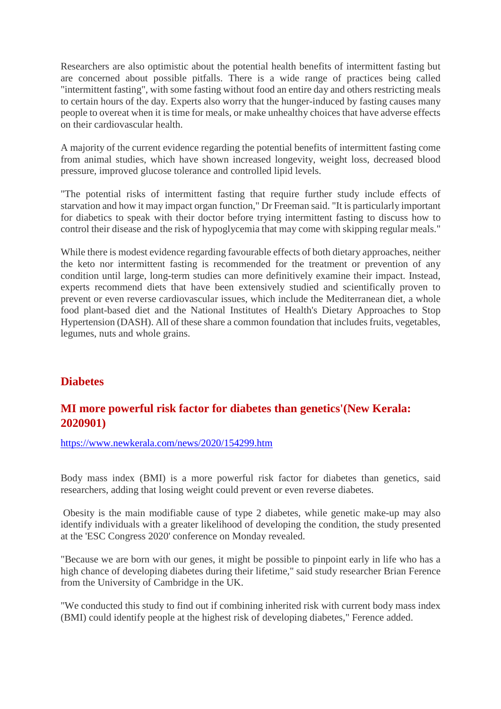Researchers are also optimistic about the potential health benefits of intermittent fasting but are concerned about possible pitfalls. There is a wide range of practices being called "intermittent fasting", with some fasting without food an entire day and others restricting meals to certain hours of the day. Experts also worry that the hunger-induced by fasting causes many people to overeat when it is time for meals, or make unhealthy choices that have adverse effects on their cardiovascular health.

A majority of the current evidence regarding the potential benefits of intermittent fasting come from animal studies, which have shown increased longevity, weight loss, decreased blood pressure, improved glucose tolerance and controlled lipid levels.

"The potential risks of intermittent fasting that require further study include effects of starvation and how it may impact organ function," Dr Freeman said. "It is particularly important for diabetics to speak with their doctor before trying intermittent fasting to discuss how to control their disease and the risk of hypoglycemia that may come with skipping regular meals."

While there is modest evidence regarding favourable effects of both dietary approaches, neither the keto nor intermittent fasting is recommended for the treatment or prevention of any condition until large, long-term studies can more definitively examine their impact. Instead, experts recommend diets that have been extensively studied and scientifically proven to prevent or even reverse cardiovascular issues, which include the Mediterranean diet, a whole food plant-based diet and the National Institutes of Health's Dietary Approaches to Stop Hypertension (DASH). All of these share a common foundation that includes fruits, vegetables, legumes, nuts and whole grains.

# **Diabetes**

# **MI more powerful risk factor for diabetes than genetics'(New Kerala: 2020901)**

https://www.newkerala.com/news/2020/154299.htm

Body mass index (BMI) is a more powerful risk factor for diabetes than genetics, said researchers, adding that losing weight could prevent or even reverse diabetes.

Obesity is the main modifiable cause of type 2 diabetes, while genetic make-up may also identify individuals with a greater likelihood of developing the condition, the study presented at the 'ESC Congress 2020' conference on Monday revealed.

"Because we are born with our genes, it might be possible to pinpoint early in life who has a high chance of developing diabetes during their lifetime," said study researcher Brian Ference from the University of Cambridge in the UK.

"We conducted this study to find out if combining inherited risk with current body mass index (BMI) could identify people at the highest risk of developing diabetes," Ference added.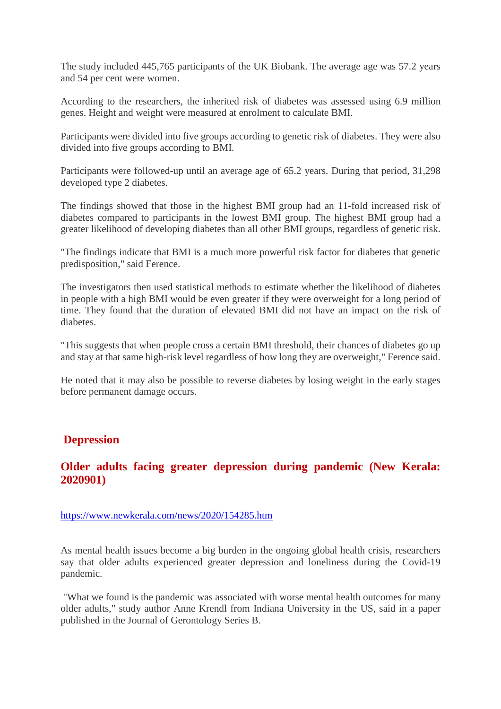The study included 445,765 participants of the UK Biobank. The average age was 57.2 years and 54 per cent were women.

According to the researchers, the inherited risk of diabetes was assessed using 6.9 million genes. Height and weight were measured at enrolment to calculate BMI.

Participants were divided into five groups according to genetic risk of diabetes. They were also divided into five groups according to BMI.

Participants were followed-up until an average age of 65.2 years. During that period, 31,298 developed type 2 diabetes.

The findings showed that those in the highest BMI group had an 11-fold increased risk of diabetes compared to participants in the lowest BMI group. The highest BMI group had a greater likelihood of developing diabetes than all other BMI groups, regardless of genetic risk.

"The findings indicate that BMI is a much more powerful risk factor for diabetes that genetic predisposition," said Ference.

The investigators then used statistical methods to estimate whether the likelihood of diabetes in people with a high BMI would be even greater if they were overweight for a long period of time. They found that the duration of elevated BMI did not have an impact on the risk of diabetes.

"This suggests that when people cross a certain BMI threshold, their chances of diabetes go up and stay at that same high-risk level regardless of how long they are overweight," Ference said.

He noted that it may also be possible to reverse diabetes by losing weight in the early stages before permanent damage occurs.

#### **Depression**

#### **Older adults facing greater depression during pandemic (New Kerala: 2020901)**

#### https://www.newkerala.com/news/2020/154285.htm

As mental health issues become a big burden in the ongoing global health crisis, researchers say that older adults experienced greater depression and loneliness during the Covid-19 pandemic.

"What we found is the pandemic was associated with worse mental health outcomes for many older adults," study author Anne Krendl from Indiana University in the US, said in a paper published in the Journal of Gerontology Series B.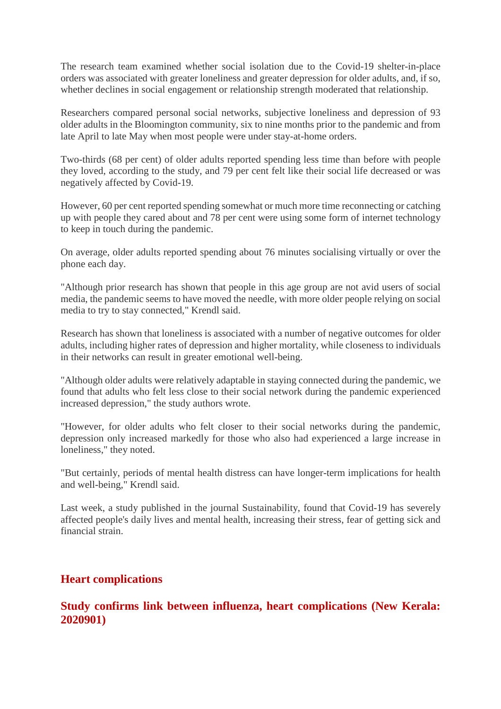The research team examined whether social isolation due to the Covid-19 shelter-in-place orders was associated with greater loneliness and greater depression for older adults, and, if so, whether declines in social engagement or relationship strength moderated that relationship.

Researchers compared personal social networks, subjective loneliness and depression of 93 older adults in the Bloomington community, six to nine months prior to the pandemic and from late April to late May when most people were under stay-at-home orders.

Two-thirds (68 per cent) of older adults reported spending less time than before with people they loved, according to the study, and 79 per cent felt like their social life decreased or was negatively affected by Covid-19.

However, 60 per cent reported spending somewhat or much more time reconnecting or catching up with people they cared about and 78 per cent were using some form of internet technology to keep in touch during the pandemic.

On average, older adults reported spending about 76 minutes socialising virtually or over the phone each day.

"Although prior research has shown that people in this age group are not avid users of social media, the pandemic seems to have moved the needle, with more older people relying on social media to try to stay connected," Krendl said.

Research has shown that loneliness is associated with a number of negative outcomes for older adults, including higher rates of depression and higher mortality, while closeness to individuals in their networks can result in greater emotional well-being.

"Although older adults were relatively adaptable in staying connected during the pandemic, we found that adults who felt less close to their social network during the pandemic experienced increased depression," the study authors wrote.

"However, for older adults who felt closer to their social networks during the pandemic, depression only increased markedly for those who also had experienced a large increase in loneliness," they noted.

"But certainly, periods of mental health distress can have longer-term implications for health and well-being," Krendl said.

Last week, a study published in the journal Sustainability, found that Covid-19 has severely affected people's daily lives and mental health, increasing their stress, fear of getting sick and financial strain.

#### **Heart complications**

#### **Study confirms link between influenza, heart complications (New Kerala: 2020901)**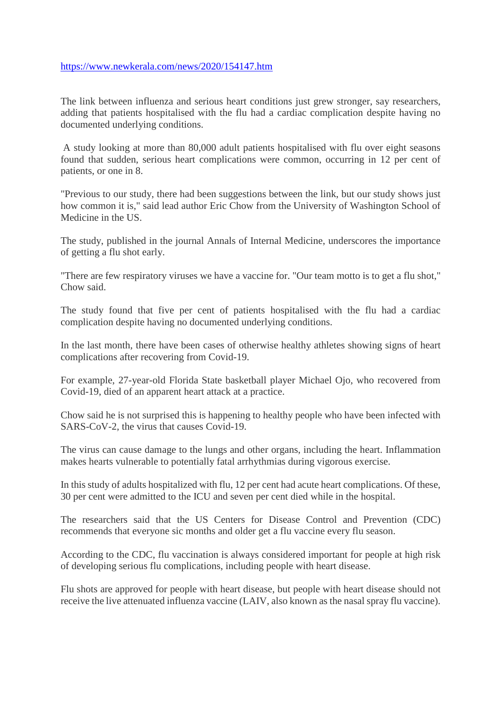#### https://www.newkerala.com/news/2020/154147.htm

The link between influenza and serious heart conditions just grew stronger, say researchers, adding that patients hospitalised with the flu had a cardiac complication despite having no documented underlying conditions.

A study looking at more than 80,000 adult patients hospitalised with flu over eight seasons found that sudden, serious heart complications were common, occurring in 12 per cent of patients, or one in 8.

"Previous to our study, there had been suggestions between the link, but our study shows just how common it is," said lead author Eric Chow from the University of Washington School of Medicine in the US.

The study, published in the journal Annals of Internal Medicine, underscores the importance of getting a flu shot early.

"There are few respiratory viruses we have a vaccine for. "Our team motto is to get a flu shot," Chow said.

The study found that five per cent of patients hospitalised with the flu had a cardiac complication despite having no documented underlying conditions.

In the last month, there have been cases of otherwise healthy athletes showing signs of heart complications after recovering from Covid-19.

For example, 27-year-old Florida State basketball player Michael Ojo, who recovered from Covid-19, died of an apparent heart attack at a practice.

Chow said he is not surprised this is happening to healthy people who have been infected with SARS-CoV-2, the virus that causes Covid-19.

The virus can cause damage to the lungs and other organs, including the heart. Inflammation makes hearts vulnerable to potentially fatal arrhythmias during vigorous exercise.

In this study of adults hospitalized with flu, 12 per cent had acute heart complications. Of these, 30 per cent were admitted to the ICU and seven per cent died while in the hospital.

The researchers said that the US Centers for Disease Control and Prevention (CDC) recommends that everyone sic months and older get a flu vaccine every flu season.

According to the CDC, flu vaccination is always considered important for people at high risk of developing serious flu complications, including people with heart disease.

Flu shots are approved for people with heart disease, but people with heart disease should not receive the live attenuated influenza vaccine (LAIV, also known as the nasal spray flu vaccine).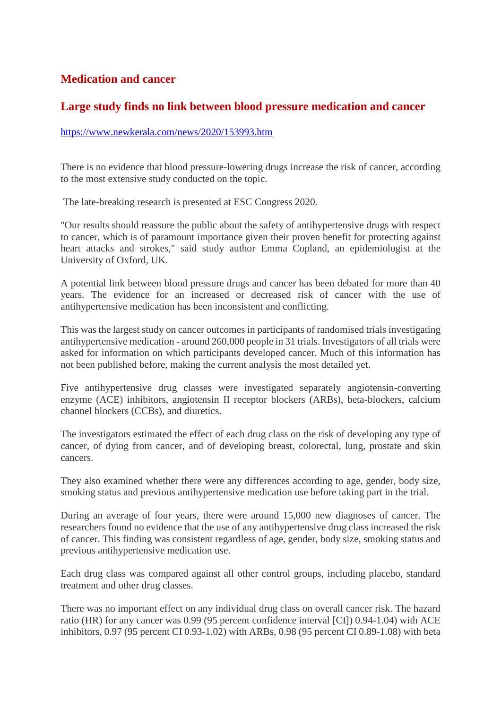# **Medication and cancer**

## **Large study finds no link between blood pressure medication and cancer**

#### https://www.newkerala.com/news/2020/153993.htm

There is no evidence that blood pressure-lowering drugs increase the risk of cancer, according to the most extensive study conducted on the topic.

The late-breaking research is presented at ESC Congress 2020.

"Our results should reassure the public about the safety of antihypertensive drugs with respect to cancer, which is of paramount importance given their proven benefit for protecting against heart attacks and strokes," said study author Emma Copland, an epidemiologist at the University of Oxford, UK.

A potential link between blood pressure drugs and cancer has been debated for more than 40 years. The evidence for an increased or decreased risk of cancer with the use of antihypertensive medication has been inconsistent and conflicting.

This was the largest study on cancer outcomes in participants of randomised trials investigating antihypertensive medication - around 260,000 people in 31 trials. Investigators of all trials were asked for information on which participants developed cancer. Much of this information has not been published before, making the current analysis the most detailed yet.

Five antihypertensive drug classes were investigated separately angiotensin-converting enzyme (ACE) inhibitors, angiotensin II receptor blockers (ARBs), beta-blockers, calcium channel blockers (CCBs), and diuretics.

The investigators estimated the effect of each drug class on the risk of developing any type of cancer, of dying from cancer, and of developing breast, colorectal, lung, prostate and skin cancers.

They also examined whether there were any differences according to age, gender, body size, smoking status and previous antihypertensive medication use before taking part in the trial.

During an average of four years, there were around 15,000 new diagnoses of cancer. The researchers found no evidence that the use of any antihypertensive drug class increased the risk of cancer. This finding was consistent regardless of age, gender, body size, smoking status and previous antihypertensive medication use.

Each drug class was compared against all other control groups, including placebo, standard treatment and other drug classes.

There was no important effect on any individual drug class on overall cancer risk. The hazard ratio (HR) for any cancer was 0.99 (95 percent confidence interval [CI]) 0.94-1.04) with ACE inhibitors, 0.97 (95 percent CI 0.93-1.02) with ARBs, 0.98 (95 percent CI 0.89-1.08) with beta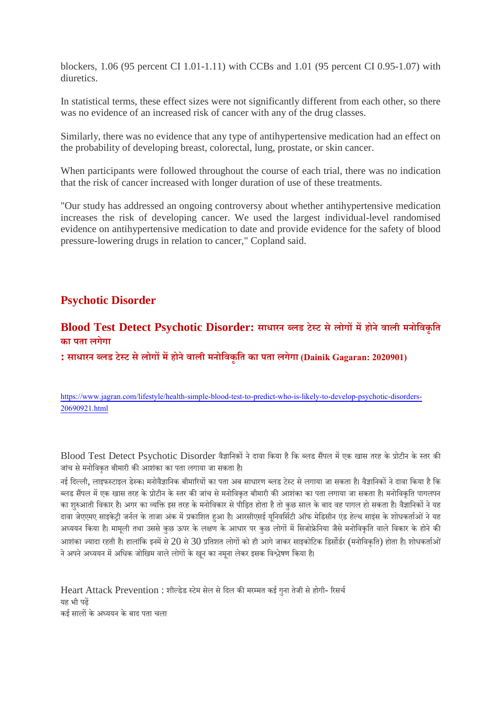blockers, 1.06 (95 percent CI 1.01-1.11) with CCBs and 1.01 (95 percent CI 0.95-1.07) with diuretics.

In statistical terms, these effect sizes were not significantly different from each other, so there was no evidence of an increased risk of cancer with any of the drug classes.

Similarly, there was no evidence that any type of antihypertensive medication had an effect on the probability of developing breast, colorectal, lung, prostate, or skin cancer.

When participants were followed throughout the course of each trial, there was no indication that the risk of cancer increased with longer duration of use of these treatments.

"Our study has addressed an ongoing controversy about whether antihypertensive medication increases the risk of developing cancer. We used the largest individual-level randomised evidence on antihypertensive medication to date and provide evidence for the safety of blood pressure-lowering drugs in relation to cancer," Copland said.

# **Psychotic Disorder**

#### **Blood Test Detect Psychotic Disorder: साधारन लड टेट सेलोगमहोनेवाली मनोिवकृित का पता लगेगा**

**: साधारन लड टेट सेलोगमहोनेवाली मनोिवकृित का पता लगेगा (Dainik Gagaran: 2020901)**

https://www.jagran.com/lifestyle/health-simple-blood-test-to-predict-who-is-likely-to-develop-psychotic-disorders-20690921.html

Blood Test Detect Psychotic Disorder वैज्ञानिकों ने दावा किया है कि ब्लड सैंपल में एक खास तरह के प्रोटीन के स्तर की जांच से मनोविकत बीमारी की आशंका का पता लगाया जा सकता है।

नई दिल्ली, लाइफस्टाइल डेस्क। मनोवैज्ञानिक बीमारियों का पता अब साधारण ब्लड टेस्ट से लगाया जा सकता है। वैज्ञानिकों ने दावा किया है कि ब्लड सैंपल में एक खास तरह के प्रोटीन के स्तर की जांच से मनोविकत बीमारी की आशंका का पता लगाया जा सकता है। मनोविकति पागलपन का शुरुआती विकार है। अगर का व्यक्ति इस तरह के मनोविकार से पीड़ित होता है तो कुछ साल के बाद वह पागल हो सकता है। वैज्ञानिकों ने यह दावा जेएएमए साइकेट्री जर्नल के ताजा अंक में प्रकाशित हुआ है। आरसीएसई युनिवर्सिटी ऑफ मेडिसीन एंड हेल्थ साइंस के शोधकर्ताओं ने यह अध्ययन किया है। मामूली तथा उससे कुछ ऊपर के लक्षण के आधार पर कुछ लोगों में सिजोफ्रेनिया जैसे मनोविकृति वाले विकार के होने की आशंका ज्यादा रहती है। हालांकि इनमें से 20 से 30 प्रतिशत लोगों को ही आगे जाकर साइकोटिक डिर्सोर्डर (मनोविकृति) होता है। शोधकर्ताओं ने अपने अध्ययन में अधिक जोखिम वाले लोगों के खून का नमूना लेकर इसक विश्लेषण किया है।

Heart Attack Prevention : शील्डेड स्टेम सेल से दिल की मरम्मत कई गुना तेजी से होगी- रिसर्च यह भी पढ़ कई सालों के अध्ययन के बाद पता चला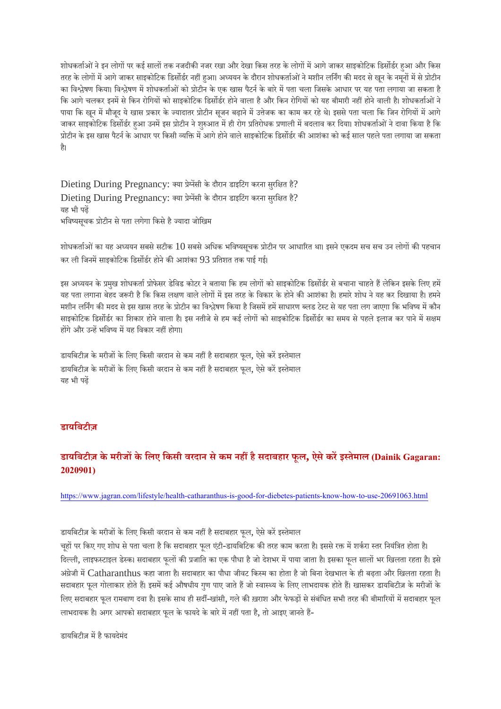शोधकर्ताओं ने इन लोगों पर कई सालों तक नजदीकी नजर रखा और देखा किस तरह के लोगों में आगे जाकर साइकोटिक डिसोंर्डर हआ और किस तरह के लोगों में आगे जाकर साइकोटिक डिसोर्डर नहीं हुआ। अध्ययन के दौरान शोधकर्ताओं ने मशीन लर्निंग की मदद से खून के नमूनों में से प्रोटीन का विश्लेषण किया। विश्लेषण में शोधकर्ताओं को प्रोटीन के एक खास पैटर्न के बारे में पता चला जिसके आधार पर यह पता लगाया जा सकता है कि आगे चलकर इनमें से किन रोगियों को साइकोटिक डिसोंर्डर होने वाला है और किन रोगियों को यह बीमारी नहीं होने वाली है। शोधकर्ताओं ने पाया कि खुन में मौजूद ये खास प्रकार के ज्यादातर प्रोटीन सुजन बढ़ाने में उत्तेजक का काम कर रहे थे। इससे पता चला कि जिन रोगियों में आगे जाकर साइकोटिक डिसोंर्डर हुआ उनमें इस प्रोटीन ने शुरुआत में ही रोग प्रतिरोधक प्रणाली में बदलाव कर दिया। शोधकर्ताओं ने दावा किया है कि प्रोटीन के इस खास पैटर्न के आधार पर किसी व्यक्ति में आगे होने वाले साइकोटिक डिसोर्डर की आशंका को कई साल पहले पता लगाया जा सकता ह।ै

Dieting During Pregnancy: क्या प्रेमेंसी के दौरान डाइटिंग करना सुरक्षित है? Dieting During Pregnancy: क्या प्रेमेंसी के दौरान डाइटिंग करना सरक्षित है? यह भी पढ़ भविष्यसचक प्रोटीन से पता लगेगा किसे है ज्यादा जोखिम

शोधकर्ताओं का यह अध्ययन सबसे सटीक  $10$  सबसे अधिक भविष्यसचक प्रोटीन पर आधारित था। इसने एकदम सच सच उन लोगों की पहचान कर ली जिनमें साइकोटिक डिसोंर्डर होने की आशंका 93 प्रतिशत तक पाई गई।

इस अध्ययन के प्रमुख शोधकर्ता प्रोफेसर डेविड कोटर ने बताया कि हम लोगों को साइकोटिक डिसोंर्डर से बचाना चाहते हैं लेकिन इसके लिए हमें यह पता लगाना बेहद जरूरी है कि किस लक्षण वाले लोगों में इस तरह के विकार के होने की आशंका है। हमारे शोध ने यह कर दिखाया है। हमने मशीन लर्निंग की मदद से इस खास तरह के प्रोटीन का विश्लेषण किया है जिसमें हमें साधारण ब्लड टेस्ट से यह पता लग जाएगा कि भविष्य में कौन साइकोटिक डिसोंर्डर का शिकार होने वाला है। इस नतीजे से हम कई लोगों को साइकोटिक डिसोंर्डर का समय से पहले इलाज कर पाने में सक्षम होंगे और उन्हें भविष्य में यह विकार नहीं होगा।

डायबिटीज़ के मरीजों के लिए किसी वरदान से कम नहीं है सदाबहार फूल, ऐसे करें इस्तेमाल डायबिटीज़ के मरीजों के लिए किसी वरदान से कम नहीं है सदाबहार फूल, ऐसे करें इस्तेमाल यह भी पढ़

#### **डायिबटीज़**

#### **डायिबटीज़ के मरीजके िलए िकसी वरदान सेकम नहहैसदाबहार फूल, ऐसेकरइतेमाल (Dainik Gagaran: 2020901)**

https://www.jagran.com/lifestyle/health-catharanthus-is-good-for-diebetes-patients-know-how-to-use-20691063.html

डायबिटीज़ के मरीजों के लिए किसी वरदान से कम नहीं है सदाबहार फूल, ऐसे करें इस्तेमाल

चूहों पर किए गए शोध से पता चला है कि सदाबहार फूल एंटी-डायबिटिक की तरह काम करता है। इससे रक्त में शर्करा स्तर नियंत्रित होता है। दिल्ली, लाइफस्टाइल डेस्क। सदाबहार फूलों की प्रजाति का एक पौधा है जो देशभर में पाया जाता है। इसका फूल सालों भर खिलता रहता है। इसे अंग्रेजी में Catharanthus कहा जाता है। सदाबहार का पौधा जीवट किस्म का होता है जो बिना देखभाल के ही बढ़ता और खिलता रहता है। सदाबहार फूल गोलाकार होते हैं। इसमें कई औषधीय गुण पाए जाते हैं जो स्वास्थ्य के लिए लाभदायक होते हैं। खासकर डायबिटीज़ के मरीजों के लिए सदाबहार फूल रामबाण दवा है। इसके साथ ही सर्दी-खांसी, गले की ख़राश और फेफड़ों से संबंधित सभी तरह की बीमारियों में सदाबहार फूल लाभदायक है। अगर आपको सदाबहार फूल के फायदे के बारे में नहीं पता है, तो आइए जानते हैं-

डायबिटीज़ में है फायदेमंद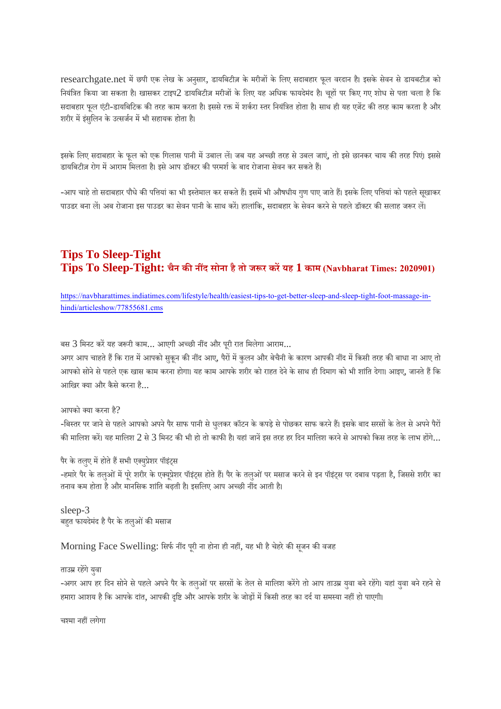researchgate.net में छपी एक लेख के अनुसार, डायबिटीज़ के मरीजों के लिए सदाबहार फूल वरदान है। इसके सेवन से डायबटीज़ को नियंत्रित किया जा सकता है। खासकर टाइप2 डायबिटीज़ मरीजों के लिए यह अधिक फायदेमंद है। चहों पर किए गए शोध से पता चला है कि सदाबहार फूल एंटी-डायबिटिक की तरह काम करता है। इससे रक्त में शर्करा स्तर नियंत्रित होता है। साथ ही यह एजेंट की तरह काम करता है और शरीर में इंसुलिन के उत्सर्जन में भी सहायक होता है।

इसके लिए सदाबहार के फल को एक गिलास पानी में उबाल लें। जब यह अच्छी तरह से उबल जाएं, तो इसे छानकर चाय की तरह पिएं। इससे डायबिटीज़ रोग में आराम मिलता है। इसे आप डॉक्टर की परमर्श के बाद रोजाना सेवन कर सकते हैं।

-आप चाहे तो सदाबहार पौधे की पत्तियां का भी इस्तेमाल कर सकते हैं। इसमें भी औषधीय गुण पाए जाते हैं। इसके लिए पत्तियां को पहले सुखाकर पाउडर बना लें। अब रोजाना इस पाउडर का सेवन पानी के साथ करें। हालांकि, सदाबहार के सेवन करने से पहले डॉक्टर की सलाह जरूर लें।

## **Tips To Sleep-Tight Tips To Sleep-Tight: चैन कनद सोना हैतो जर करयह 1 काम (Navbharat Times: 2020901)**

https://navbharattimes.indiatimes.com/lifestyle/health/easiest-tips-to-get-better-sleep-and-sleep-tight-foot-massage-inhindi/articleshow/77855681.cms

बस 3 मिनट करें यह जरूरी काम... आएगी अच्छी नींद और पूरी रात मिलेगा आराम...

अगर आप चाहते हैं कि रात में आपको सुकून की नींद आए, पैरों में कुलन और बेचैनी के कारण आपकी नींद में किसी तरह की बाधा ना आए तो आपको सोने से पहले एक खास काम करना होगा। यह काम आपके शरीर को राहत देने के साथ ही दिमाग को भी शांति देगा। आइए, जानते हैं कि आखिर क्या और कैसे करना है...

आपको क्या करना है?

-बिस्तर पर जाने से पहले आपको अपने पैर साफ पानी से धुलकर कॉटन के कपड़े से पोछकर साफ करने हैं। इसके बाद सरसों के तेल से अपने पैरों की मालिश करें। यह मालिश 2 से 3 मिनट की भी हो तो काफी है। यहां जानें इस तरह हर दिन मालिश करने से आपको किस तरह के लाभ होंगे...

पैर के तलुए में होते हैं सभी एक्युप्रेशर पॉइंट्स

-हमारे पैर के तलुओं में पूरे शरीर के एक्यूप्रेशर पॉइंट्स होते हैं। पैर के तलुओं पर मसाज करने से इन पॉइंट्स पर दबाव पड़ता है, जिससे शरीर का तनाव कम होता है और मानसिक शांति बढ़ती है। इसलिए आप अच्छी नींद आती है।

sleep-3 बहत फायदेमंद है पैर के तलुओं की मसाज

Morning Face Swelling: सिर्फ नींद पूरी ना होना ही नहीं, यह भी है चेहरे की सूजन की वजह

#### ताउम्र रहेंगे यवा

-अगर आप हर दिन सोने से पहले अपने पैर के तलुओं पर सरसों के तेल से मालिश करेंगे तो आप ताउम्र युवा बने रहेंगे। यहां युवा बने रहने से हमारा आशय है कि आपके दांत, आपकी दृष्टि और आपके शरीर के जोड़ों में किसी तरह का दर्द या समस्या नहीं हो पाएगी।

चश्मा नहीं लगेगा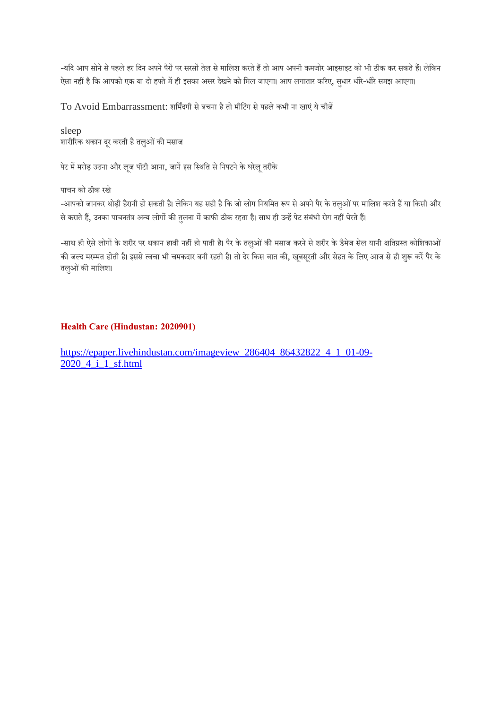-यदि आप सोने से पहले हर दिन अपने पैरों पर सरसों तेल से मालिश करते हैं तो आप अपनी कमजोर आइसाइट को भी ठीक कर सकते हैं। लेकिन ऐसा नहीं है कि आपको एक या दो हफ्ते में ही इसका असर देखने को मिल जाएगा। आप लगातार करिए, सुधार धीरे-धीरे समझ आएगा।

To Avoid Embarrassment: शिमदगी सेबचना हैतो मीिटंग सेपहलेकभी ना खाएं येचीज

sleep शारीरिक थकान दूर करती है तलुओं की मसाज

पेट में मरोड़ उठना और लूज पॉटी आना, जानें इस स्थिति से निपटने के घरेलू तरीके

पाचन को ठीक रखे

-आपको जानकर थोड़ी हैरानी हो सकती है। लेकिन यह सही है कि जो लोग नियमित रूप से अपने पैर के तलुओं पर मालिश करते हैं या किसी और से कराते हैं, उनका पाचनतंत्र अन्य लोगों की तुलना में काफी ठीक रहता है। साथ ही उन्हें पेट संबंधी रोग नहीं घेरते हैं।

-साथ ही ऐसे लोगों के शरीर पर थकान हावी नहीं हो पाती है। पैर के तलुओं की मसाज करने से शरीर के डैमेज सेल यानी क्षतिग्रस्त कोशिकाओं की जल्द मरम्मत होती है। इससे त्वचा भी चमकदार बनी रहती है। तो देर किस बात की, खूबसूरती और सेहत के लिए आज से ही शुरू करें पैर के तलुओं की मालिश।

#### **Health Care (Hindustan: 2020901)**

https://epaper.livehindustan.com/imageview\_286404\_86432822\_4\_1\_01-09- 2020 4 i 1 sf.html